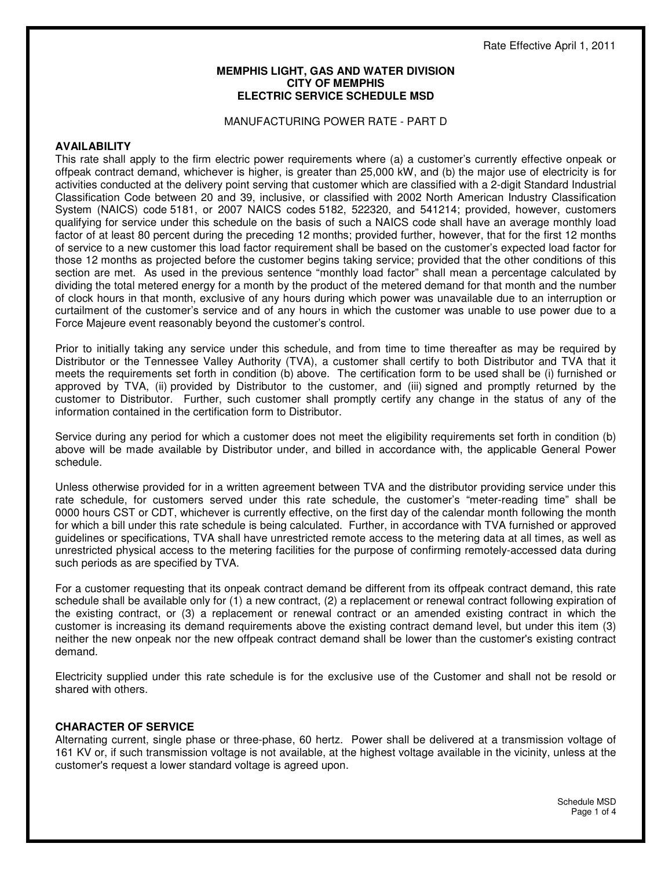#### **MEMPHIS LIGHT, GAS AND WATER DIVISION CITY OF MEMPHIS ELECTRIC SERVICE SCHEDULE MSD**

#### MANUFACTURING POWER RATE - PART D

#### **AVAILABILITY**

This rate shall apply to the firm electric power requirements where (a) a customer's currently effective onpeak or offpeak contract demand, whichever is higher, is greater than 25,000 kW, and (b) the major use of electricity is for activities conducted at the delivery point serving that customer which are classified with a 2-digit Standard Industrial Classification Code between 20 and 39, inclusive, or classified with 2002 North American Industry Classification System (NAICS) code 5181, or 2007 NAICS codes 5182, 522320, and 541214; provided, however, customers qualifying for service under this schedule on the basis of such a NAICS code shall have an average monthly load factor of at least 80 percent during the preceding 12 months; provided further, however, that for the first 12 months of service to a new customer this load factor requirement shall be based on the customer's expected load factor for those 12 months as projected before the customer begins taking service; provided that the other conditions of this section are met. As used in the previous sentence "monthly load factor" shall mean a percentage calculated by dividing the total metered energy for a month by the product of the metered demand for that month and the number of clock hours in that month, exclusive of any hours during which power was unavailable due to an interruption or curtailment of the customer's service and of any hours in which the customer was unable to use power due to a Force Majeure event reasonably beyond the customer's control.

Prior to initially taking any service under this schedule, and from time to time thereafter as may be required by Distributor or the Tennessee Valley Authority (TVA), a customer shall certify to both Distributor and TVA that it meets the requirements set forth in condition (b) above. The certification form to be used shall be (i) furnished or approved by TVA, (ii) provided by Distributor to the customer, and (iii) signed and promptly returned by the customer to Distributor. Further, such customer shall promptly certify any change in the status of any of the information contained in the certification form to Distributor.

Service during any period for which a customer does not meet the eligibility requirements set forth in condition (b) above will be made available by Distributor under, and billed in accordance with, the applicable General Power schedule.

Unless otherwise provided for in a written agreement between TVA and the distributor providing service under this rate schedule, for customers served under this rate schedule, the customer's "meter-reading time" shall be 0000 hours CST or CDT, whichever is currently effective, on the first day of the calendar month following the month for which a bill under this rate schedule is being calculated. Further, in accordance with TVA furnished or approved guidelines or specifications, TVA shall have unrestricted remote access to the metering data at all times, as well as unrestricted physical access to the metering facilities for the purpose of confirming remotely-accessed data during such periods as are specified by TVA.

For a customer requesting that its onpeak contract demand be different from its offpeak contract demand, this rate schedule shall be available only for (1) a new contract, (2) a replacement or renewal contract following expiration of the existing contract, or (3) a replacement or renewal contract or an amended existing contract in which the customer is increasing its demand requirements above the existing contract demand level, but under this item (3) neither the new onpeak nor the new offpeak contract demand shall be lower than the customer's existing contract demand.

Electricity supplied under this rate schedule is for the exclusive use of the Customer and shall not be resold or shared with others.

#### **CHARACTER OF SERVICE**

Alternating current, single phase or three-phase, 60 hertz. Power shall be delivered at a transmission voltage of 161 KV or, if such transmission voltage is not available, at the highest voltage available in the vicinity, unless at the customer's request a lower standard voltage is agreed upon.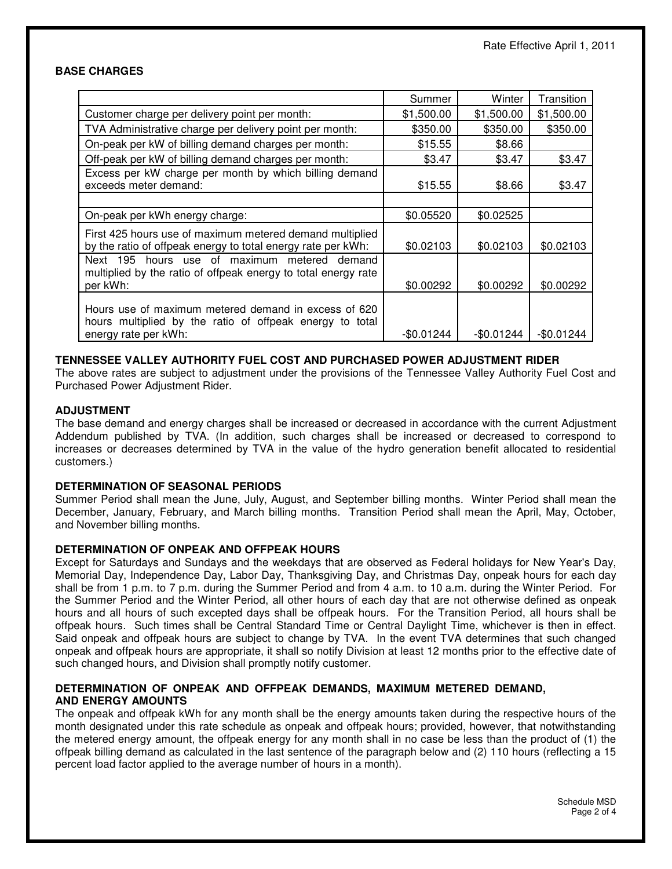### **BASE CHARGES**

|                                                                                                                                          | Summer     | Winter     | Transition  |
|------------------------------------------------------------------------------------------------------------------------------------------|------------|------------|-------------|
| Customer charge per delivery point per month:                                                                                            | \$1,500.00 | \$1,500.00 | \$1,500.00  |
| TVA Administrative charge per delivery point per month:                                                                                  | \$350.00   | \$350.00   | \$350.00    |
| On-peak per kW of billing demand charges per month:                                                                                      | \$15.55    | \$8.66     |             |
| Off-peak per kW of billing demand charges per month:                                                                                     | \$3.47     | \$3.47     | \$3.47      |
| Excess per kW charge per month by which billing demand<br>exceeds meter demand:                                                          | \$15.55    | \$8.66     | \$3.47      |
| On-peak per kWh energy charge:                                                                                                           | \$0.05520  | \$0.02525  |             |
| First 425 hours use of maximum metered demand multiplied<br>by the ratio of offpeak energy to total energy rate per kWh:                 | \$0.02103  | \$0.02103  | \$0.02103   |
| Next 195 hours use of maximum metered demand<br>multiplied by the ratio of offpeak energy to total energy rate<br>per kWh:               | \$0.00292  | \$0.00292  | \$0.00292   |
| Hours use of maximum metered demand in excess of 620<br>hours multiplied by the ratio of offpeak energy to total<br>energy rate per kWh: | -\$0.01244 | -\$0.01244 | $-$0.01244$ |

### **TENNESSEE VALLEY AUTHORITY FUEL COST AND PURCHASED POWER ADJUSTMENT RIDER**

The above rates are subject to adjustment under the provisions of the Tennessee Valley Authority Fuel Cost and Purchased Power Adjustment Rider.

### **ADJUSTMENT**

The base demand and energy charges shall be increased or decreased in accordance with the current Adjustment Addendum published by TVA. (In addition, such charges shall be increased or decreased to correspond to increases or decreases determined by TVA in the value of the hydro generation benefit allocated to residential customers.)

## **DETERMINATION OF SEASONAL PERIODS**

Summer Period shall mean the June, July, August, and September billing months. Winter Period shall mean the December, January, February, and March billing months. Transition Period shall mean the April, May, October, and November billing months.

#### **DETERMINATION OF ONPEAK AND OFFPEAK HOURS**

Except for Saturdays and Sundays and the weekdays that are observed as Federal holidays for New Year's Day, Memorial Day, Independence Day, Labor Day, Thanksgiving Day, and Christmas Day, onpeak hours for each day shall be from 1 p.m. to 7 p.m. during the Summer Period and from 4 a.m. to 10 a.m. during the Winter Period. For the Summer Period and the Winter Period, all other hours of each day that are not otherwise defined as onpeak hours and all hours of such excepted days shall be offpeak hours. For the Transition Period, all hours shall be offpeak hours. Such times shall be Central Standard Time or Central Daylight Time, whichever is then in effect. Said onpeak and offpeak hours are subject to change by TVA. In the event TVA determines that such changed onpeak and offpeak hours are appropriate, it shall so notify Division at least 12 months prior to the effective date of such changed hours, and Division shall promptly notify customer.

### **DETERMINATION OF ONPEAK AND OFFPEAK DEMANDS, MAXIMUM METERED DEMAND, AND ENERGY AMOUNTS**

The onpeak and offpeak kWh for any month shall be the energy amounts taken during the respective hours of the month designated under this rate schedule as onpeak and offpeak hours; provided, however, that notwithstanding the metered energy amount, the offpeak energy for any month shall in no case be less than the product of (1) the offpeak billing demand as calculated in the last sentence of the paragraph below and (2) 110 hours (reflecting a 15 percent load factor applied to the average number of hours in a month).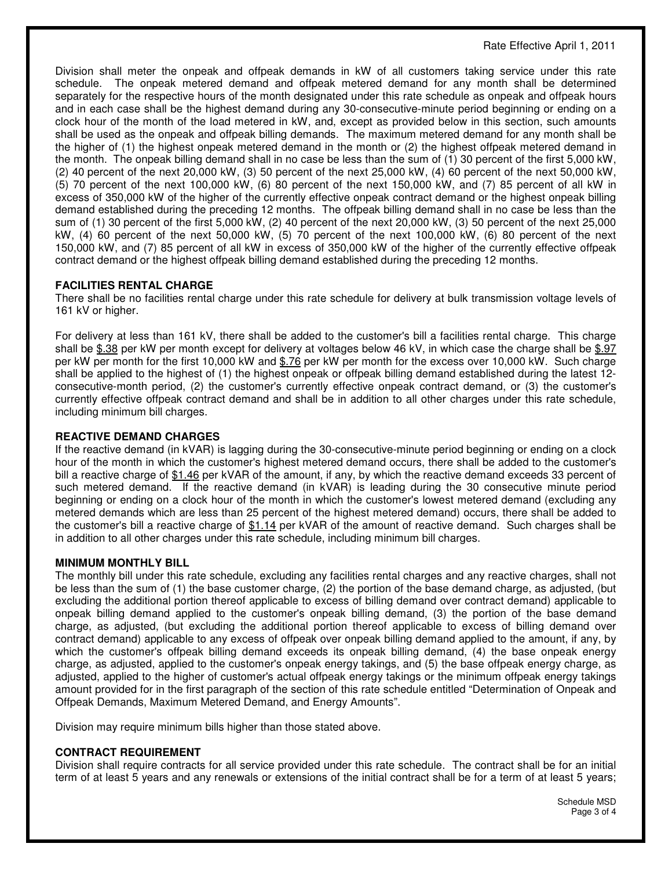Rate Effective April 1, 2011

Division shall meter the onpeak and offpeak demands in kW of all customers taking service under this rate schedule. The onpeak metered demand and offpeak metered demand for any month shall be determined separately for the respective hours of the month designated under this rate schedule as onpeak and offpeak hours and in each case shall be the highest demand during any 30-consecutive-minute period beginning or ending on a clock hour of the month of the load metered in kW, and, except as provided below in this section, such amounts shall be used as the onpeak and offpeak billing demands. The maximum metered demand for any month shall be the higher of (1) the highest onpeak metered demand in the month or (2) the highest offpeak metered demand in the month. The onpeak billing demand shall in no case be less than the sum of (1) 30 percent of the first 5,000 kW, (2) 40 percent of the next 20,000 kW, (3) 50 percent of the next 25,000 kW, (4) 60 percent of the next 50,000 kW, (5) 70 percent of the next 100,000 kW, (6) 80 percent of the next 150,000 kW, and (7) 85 percent of all kW in excess of 350,000 kW of the higher of the currently effective onpeak contract demand or the highest onpeak billing demand established during the preceding 12 months. The offpeak billing demand shall in no case be less than the sum of (1) 30 percent of the first 5,000 kW, (2) 40 percent of the next 20,000 kW, (3) 50 percent of the next 25,000 kW, (4) 60 percent of the next 50,000 kW, (5) 70 percent of the next 100,000 kW, (6) 80 percent of the next 150,000 kW, and (7) 85 percent of all kW in excess of 350,000 kW of the higher of the currently effective offpeak contract demand or the highest offpeak billing demand established during the preceding 12 months.

# **FACILITIES RENTAL CHARGE**

There shall be no facilities rental charge under this rate schedule for delivery at bulk transmission voltage levels of 161 kV or higher.

For delivery at less than 161 kV, there shall be added to the customer's bill a facilities rental charge. This charge shall be \$.38 per kW per month except for delivery at voltages below 46 kV, in which case the charge shall be \$.97 per kW per month for the first 10,000 kW and \$.76 per kW per month for the excess over 10,000 kW. Such charge shall be applied to the highest of (1) the highest onpeak or offpeak billing demand established during the latest 12 consecutive-month period, (2) the customer's currently effective onpeak contract demand, or (3) the customer's currently effective offpeak contract demand and shall be in addition to all other charges under this rate schedule, including minimum bill charges.

## **REACTIVE DEMAND CHARGES**

If the reactive demand (in kVAR) is lagging during the 30-consecutive-minute period beginning or ending on a clock hour of the month in which the customer's highest metered demand occurs, there shall be added to the customer's bill a reactive charge of \$1.46 per kVAR of the amount, if any, by which the reactive demand exceeds 33 percent of such metered demand. If the reactive demand (in kVAR) is leading during the 30 consecutive minute period beginning or ending on a clock hour of the month in which the customer's lowest metered demand (excluding any metered demands which are less than 25 percent of the highest metered demand) occurs, there shall be added to the customer's bill a reactive charge of \$1.14 per kVAR of the amount of reactive demand. Such charges shall be in addition to all other charges under this rate schedule, including minimum bill charges.

## **MINIMUM MONTHLY BILL**

The monthly bill under this rate schedule, excluding any facilities rental charges and any reactive charges, shall not be less than the sum of (1) the base customer charge, (2) the portion of the base demand charge, as adjusted, (but excluding the additional portion thereof applicable to excess of billing demand over contract demand) applicable to onpeak billing demand applied to the customer's onpeak billing demand, (3) the portion of the base demand charge, as adjusted, (but excluding the additional portion thereof applicable to excess of billing demand over contract demand) applicable to any excess of offpeak over onpeak billing demand applied to the amount, if any, by which the customer's offpeak billing demand exceeds its onpeak billing demand, (4) the base onpeak energy charge, as adjusted, applied to the customer's onpeak energy takings, and (5) the base offpeak energy charge, as adjusted, applied to the higher of customer's actual offpeak energy takings or the minimum offpeak energy takings amount provided for in the first paragraph of the section of this rate schedule entitled "Determination of Onpeak and Offpeak Demands, Maximum Metered Demand, and Energy Amounts".

Division may require minimum bills higher than those stated above.

## **CONTRACT REQUIREMENT**

Division shall require contracts for all service provided under this rate schedule. The contract shall be for an initial term of at least 5 years and any renewals or extensions of the initial contract shall be for a term of at least 5 years;